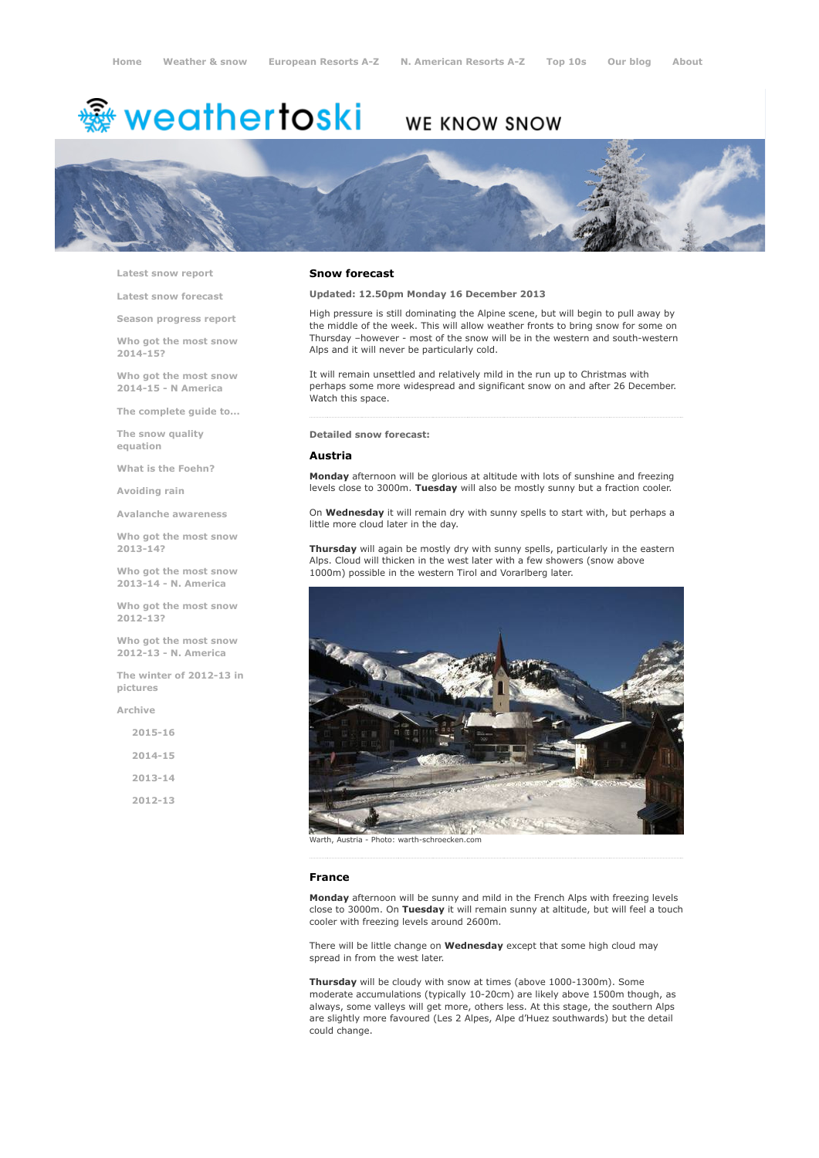# <del>鑾</del> weathertoski

# WE KNOW SNOW



Latest snow [report](http://www.weathertoski.co.uk/weather-snow/latest-snow-report/)

Latest snow [forecast](http://www.weathertoski.co.uk/weather-snow/latest-snow-forecast/)

Season [progress](http://www.weathertoski.co.uk/weather-snow/season-progress-report/) report

Who got the most snow 2014-15?

Who got the most snow 2014-15 - N America

The [complete](http://www.weathertoski.co.uk/weather-snow/the-complete-guide-to/) guide to...

The snow quality [equation](http://www.weathertoski.co.uk/weather-snow/the-snow-quality-equation/)

What is the [Foehn?](http://www.weathertoski.co.uk/weather-snow/what-is-the-foehn/)

[Avoiding](http://www.weathertoski.co.uk/weather-snow/avoiding-rain/) rain

Avalanche [awareness](http://www.weathertoski.co.uk/weather-snow/avalanche-awareness/)

Who got the most snow 2013-14?

Who got the most snow 2013-14 - N. America

Who got the most snow 2012-13?

Who got the most snow 2012-13 - N. America

The winter of 2012-13 in pictures

[Archive](http://www.weathertoski.co.uk/weather-snow/archive/)

| $2015 - 16$ |  |
|-------------|--|
| $2014 - 15$ |  |
| $2013 - 14$ |  |
| 2012-13     |  |

# Snow forecast

Updated: 12.50pm Monday 16 December 2013

High pressure is still dominating the Alpine scene, but will begin to pull away by the middle of the week. This will allow weather fronts to bring snow for some on Thursday -however - most of the snow will be in the western and south-western Alps and it will never be particularly cold.

It will remain unsettled and relatively mild in the run up to Christmas with perhaps some more widespread and significant snow on and after 26 December. Watch this space.

#### Detailed snow forecast:

#### Austria

Monday afternoon will be glorious at altitude with lots of sunshine and freezing levels close to 3000m. Tuesday will also be mostly sunny but a fraction cooler.

On Wednesday it will remain dry with sunny spells to start with, but perhaps a little more cloud later in the day.

Thursday will again be mostly dry with sunny spells, particularly in the eastern Alps. Cloud will thicken in the west later with a few showers (snow above 1000m) possible in the western Tirol and Vorarlberg later.



Austria - Photo: warth-schroecken.com

#### France

Monday afternoon will be sunny and mild in the French Alps with freezing levels close to 3000m. On Tuesday it will remain sunny at altitude, but will feel a touch cooler with freezing levels around 2600m.

There will be little change on Wednesday except that some high cloud may spread in from the west later.

Thursday will be cloudy with snow at times (above 1000-1300m). Some moderate accumulations (typically 10-20cm) are likely above 1500m though, as always, some valleys will get more, others less. At this stage, the southern Alps are slightly more favoured (Les 2 Alpes, Alpe d'Huez southwards) but the detail could change.